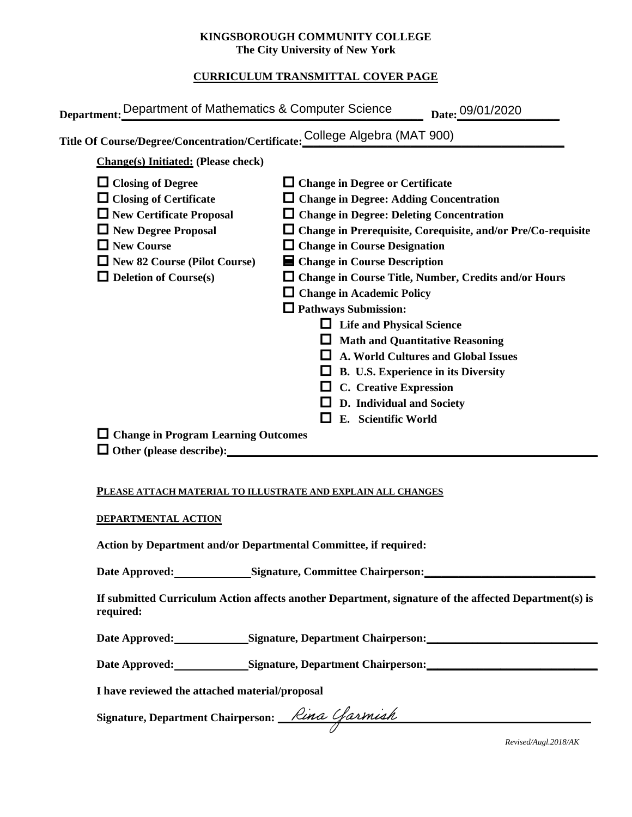### **KINGSBOROUGH COMMUNITY COLLEGE The City University of New York**

# **CURRICULUM TRANSMITTAL COVER PAGE**

| Department: Department of Mathematics & Computer Science                                                                                                                                                        | Date: 09/01/2020                                                                                                                                                                                                                                                                                                                                                                                                                                                                                                                                                                                                                                                |
|-----------------------------------------------------------------------------------------------------------------------------------------------------------------------------------------------------------------|-----------------------------------------------------------------------------------------------------------------------------------------------------------------------------------------------------------------------------------------------------------------------------------------------------------------------------------------------------------------------------------------------------------------------------------------------------------------------------------------------------------------------------------------------------------------------------------------------------------------------------------------------------------------|
| Title Of Course/Degree/Concentration/Certificate: College Algebra (MAT 900)                                                                                                                                     |                                                                                                                                                                                                                                                                                                                                                                                                                                                                                                                                                                                                                                                                 |
| <b>Change(s)</b> Initiated: (Please check)                                                                                                                                                                      |                                                                                                                                                                                                                                                                                                                                                                                                                                                                                                                                                                                                                                                                 |
| $\Box$ Closing of Degree<br>$\Box$ Closing of Certificate<br>New Certificate Proposal<br>$\Box$ New Degree Proposal<br>$\Box$ New Course<br>$\Box$ New 82 Course (Pilot Course)<br>$\Box$ Deletion of Course(s) | $\Box$ Change in Degree or Certificate<br>$\Box$ Change in Degree: Adding Concentration<br>$\Box$ Change in Degree: Deleting Concentration<br>$\Box$ Change in Prerequisite, Corequisite, and/or Pre/Co-requisite<br>$\Box$ Change in Course Designation<br>■ Change in Course Description<br>□ Change in Course Title, Number, Credits and/or Hours<br>$\Box$ Change in Academic Policy<br>$\Box$ Pathways Submission:<br><b>Life and Physical Science</b><br><b>Math and Quantitative Reasoning</b><br><b>A. World Cultures and Global Issues</b><br><b>B. U.S. Experience in its Diversity</b><br><b>C.</b> Creative Expression<br>D. Individual and Society |
| $\Box$ Change in Program Learning Outcomes<br>$\Box$ Other (please describe):                                                                                                                                   | E. Scientific World                                                                                                                                                                                                                                                                                                                                                                                                                                                                                                                                                                                                                                             |

#### **PLEASE ATTACH MATERIAL TO ILLUSTRATE AND EXPLAIN ALL CHANGES**

#### **DEPARTMENTAL ACTION**

**Action by Department and/or Departmental Committee, if required:**

Date Approved: Signature, Committee Chairperson:

**If submitted Curriculum Action affects another Department, signature of the affected Department(s) is required:**

Date Approved: Signature, Department Chairperson:

Date Approved: Signature, Department Chairperson: Network and Solven and Solven and Solven and Solven and Solven and Solven and Solven and Solven and Solven and Solven and Solven and Solven and Solven and Solven and Solven

**I have reviewed the attached material/proposal**

Signature, Department Chairperson: Network Charming Partnership Charming Charming Charming Charming Charming Charming Charming Charming Charming Charming Charming Charming Charming Charming Charming Charming Charming Charm

*Revised/Augl.2018/AK*